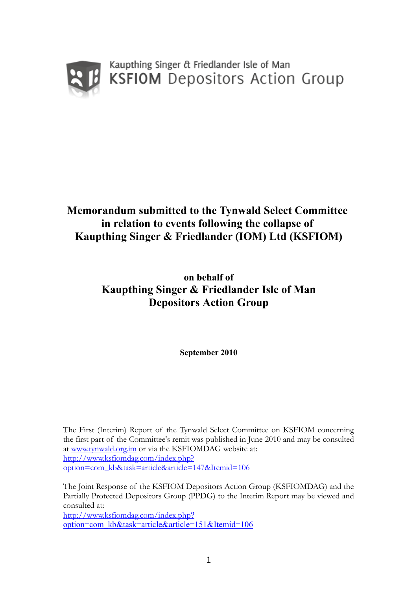

Kaupthing Singer & Friedlander Isle of Man **KSFIOM** Depositors Action Group

# **Memorandum submitted to the Tynwald Select Committee in relation to events following the collapse of Kaupthing Singer & Friedlander (IOM) Ltd (KSFIOM)**

**on behalf of Kaupthing Singer & Friedlander Isle of Man Depositors Action Group**

**September 2010**

The First (Interim) Report of the Tynwald Select Committee on KSFIOM concerning the first part of the Committee's remit was published in June 2010 and may be consulted at [www.tynwald.org.im](http://www.tynwald.org.imo/) or via the KSFIOMDAG website at: [http://www.ksfiomdag.com/index.php?](http://www.ksfiomdag.com/index.php?option=com_kb&task=article&article=147&Itemid=106) [option=com\\_kb&task=article&article=147&Itemid=106](http://www.ksfiomdag.com/index.php?option=com_kb&task=article&article=147&Itemid=106)

The Joint Response of the KSFIOM Depositors Action Group (KSFIOMDAG) and the Partially Protected Depositors Group (PPDG) to the Interim Report may be viewed and consulted at: [http://www.ksfiomdag.com/index.php](http://www.ksfiomdag.com/index.php?option=com_kb&task=article&article=151&Itemid=106)? [option=com\\_kb&task=article&article=151&Itemid=106](http://www.ksfiomdag.com/index.php?option=com_kb&task=article&article=151&Itemid=106)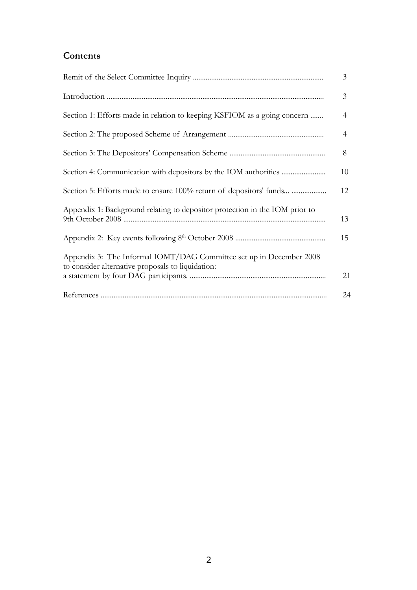# **Contents**

|                                                                                                                          | $\overline{3}$ |
|--------------------------------------------------------------------------------------------------------------------------|----------------|
|                                                                                                                          | 3              |
| Section 1: Efforts made in relation to keeping KSFIOM as a going concern                                                 | 4              |
|                                                                                                                          | 4              |
|                                                                                                                          | 8              |
|                                                                                                                          | 10             |
|                                                                                                                          | 12             |
| Appendix 1: Background relating to depositor protection in the IOM prior to                                              | 13             |
|                                                                                                                          | 15             |
| Appendix 3: The Informal IOMT/DAG Committee set up in December 2008<br>to consider alternative proposals to liquidation: |                |
|                                                                                                                          | 21             |
|                                                                                                                          | 24             |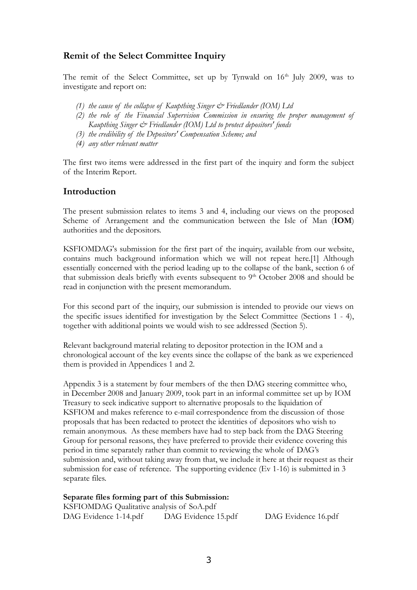# **Remit of the Select Committee Inquiry**

The remit of the Select Committee, set up by Tynwald on 16<sup>th</sup> July 2009, was to investigate and report on:

- *(1) the cause of the collapse of Kaupthing Singer & Friedlander (IOM) Ltd*
- *(2) the role of the Financial Supervision Commission in ensuring the proper management of Kaupthing Singer & Friedlander (IOM) Ltd to protect depositors' funds*
- *(3) the credibility of the Depositors' Compensation Scheme; and*
- *(4) any other relevant matter*

The first two items were addressed in the first part of the inquiry and form the subject of the Interim Report.

### **Introduction**

The present submission relates to items 3 and 4, including our views on the proposed Scheme of Arrangement and the communication between the Isle of Man (**IOM**) authorities and the depositors.

KSFIOMDAG's submission for the first part of the inquiry, available from our website, contains much background information which we will not repeat here.[1] Although essentially concerned with the period leading up to the collapse of the bank, section 6 of that submission deals briefly with events subsequent to  $9<sup>th</sup>$  October 2008 and should be read in conjunction with the present memorandum.

For this second part of the inquiry, our submission is intended to provide our views on the specific issues identified for investigation by the Select Committee (Sections 1 - 4), together with additional points we would wish to see addressed (Section 5).

Relevant background material relating to depositor protection in the IOM and a chronological account of the key events since the collapse of the bank as we experienced them is provided in Appendices 1 and 2.

Appendix 3 is a statement by four members of the then DAG steering committee who, in December 2008 and January 2009, took part in an informal committee set up by IOM Treasury to seek indicative support to alternative proposals to the liquidation of KSFIOM and makes reference to e-mail correspondence from the discussion of those proposals that has been redacted to protect the identities of depositors who wish to remain anonymous. As these members have had to step back from the DAG Steering Group for personal reasons, they have preferred to provide their evidence covering this period in time separately rather than commit to reviewing the whole of DAG's submission and, without taking away from that, we include it here at their request as their submission for ease of reference. The supporting evidence (Ev 1-16) is submitted in 3 separate files.

### **Separate files forming part of this Submission:**

KSFIOMDAG Qualitative analysis of SoA.pdf DAG Evidence 1-14.pdf DAG Evidence 15.pdf DAG Evidence 16.pdf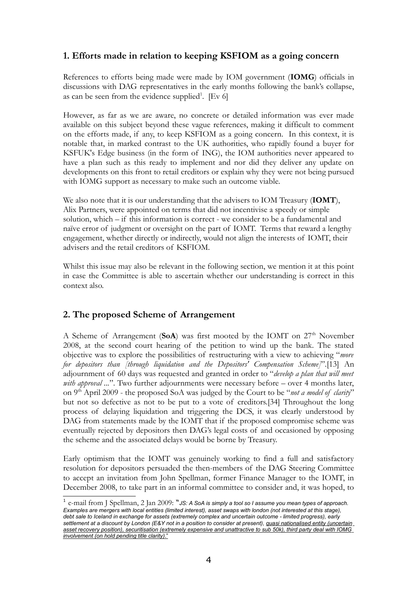# **1. Efforts made in relation to keeping KSFIOM as a going concern**

References to efforts being made were made by IOM government (**IOMG**) officials in discussions with DAG representatives in the early months following the bank's collapse, as can be seen from the evidence supplied<sup>[1](#page-3-0)</sup>. [Ev 6]

However, as far as we are aware, no concrete or detailed information was ever made available on this subject beyond these vague references, making it difficult to comment on the efforts made, if any, to keep KSFIOM as a going concern. In this context, it is notable that, in marked contrast to the UK authorities, who rapidly found a buyer for KSFUK's Edge business (in the form of ING), the IOM authorities never appeared to have a plan such as this ready to implement and nor did they deliver any update on developments on this front to retail creditors or explain why they were not being pursued with IOMG support as necessary to make such an outcome viable.

We also note that it is our understanding that the advisers to IOM Treasury (**IOMT**), Alix Partners, were appointed on terms that did not incentivise a speedy or simple solution, which – if this information is correct - we consider to be a fundamental and naïve error of judgment or oversight on the part of IOMT. Terms that reward a lengthy engagement, whether directly or indirectly, would not align the interests of IOMT, their advisers and the retail creditors of KSFIOM.

Whilst this issue may also be relevant in the following section, we mention it at this point in case the Committee is able to ascertain whether our understanding is correct in this context also.

## **2. The proposed Scheme of Arrangement**

A Scheme of Arrangement (SoA) was first mooted by the IOMT on 27<sup>th</sup> November 2008, at the second court hearing of the petition to wind up the bank. The stated objective was to explore the possibilities of restructuring with a view to achieving "*more for depositors than [through liquidation and the Depositors' Compensation Scheme]*".[13] An adjournment of 60 days was requested and granted in order to "*develop a plan that will meet with approval ...*". Two further adjournments were necessary before – over 4 months later, on 9 th April 2009 - the proposed SoA was judged by the Court to be "*not a model of clarity*" but not so defective as not to be put to a vote of creditors.[34] Throughout the long process of delaying liquidation and triggering the DCS, it was clearly understood by DAG from statements made by the IOMT that if the proposed compromise scheme was eventually rejected by depositors then DAG's legal costs of and occasioned by opposing the scheme and the associated delays would be borne by Treasury.

Early optimism that the IOMT was genuinely working to find a full and satisfactory resolution for depositors persuaded the then-members of the DAG Steering Committee to accept an invitation from John Spellman, former Finance Manager to the IOMT, in December 2008, to take part in an informal committee to consider and, it was hoped, to

<span id="page-3-0"></span><sup>1</sup> e-mail from J Spellman, 2 Jan 2009: "*JS: A SoA is simply a tool so I assume you mean types of approach.* Examples are mergers with local entities (limited interest), asset swaps with london (not interested at this stage), debt sale to Iceland in exchange for assets (extremely complex and uncertain outcome - limited progress), early settlement at a discount by London (E&Y not in a position to consider at present), quasi nationalised entity (uncertain asset recovery position), securitisation (extremely expensive and unattractive to sub 50k), third party deal with IOMG *involvement (on hold pending title clarity)*."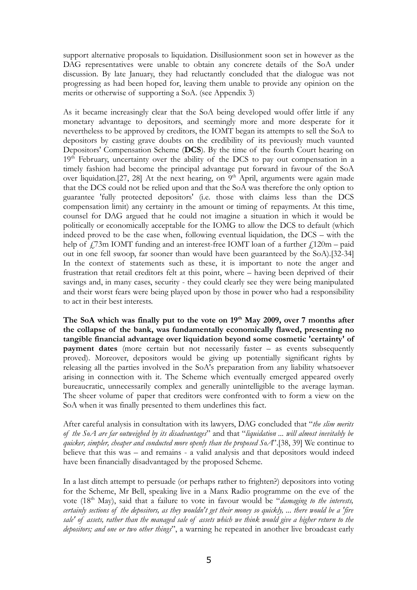support alternative proposals to liquidation. Disillusionment soon set in however as the DAG representatives were unable to obtain any concrete details of the SoA under discussion. By late January, they had reluctantly concluded that the dialogue was not progressing as had been hoped for, leaving them unable to provide any opinion on the merits or otherwise of supporting a SoA. (see Appendix 3)

As it became increasingly clear that the SoA being developed would offer little if any monetary advantage to depositors, and seemingly more and more desperate for it nevertheless to be approved by creditors, the IOMT began its attempts to sell the SoA to depositors by casting grave doubts on the credibility of its previously much vaunted Depositors' Compensation Scheme (**DCS**). By the time of the fourth Court hearing on 19<sup>th</sup> February, uncertainty over the ability of the DCS to pay out compensation in a timely fashion had become the principal advantage put forward in favour of the SoA over liquidation.[27, 28] At the next hearing, on 9<sup>th</sup> April, arguments were again made that the DCS could not be relied upon and that the SoA was therefore the only option to guarantee 'fully protected depositors' (i.e. those with claims less than the DCS compensation limit) any certainty in the amount or timing of repayments. At this time, counsel for DAG argued that he could not imagine a situation in which it would be politically or economically acceptable for the IOMG to allow the DCS to default (which indeed proved to be the case when, following eventual liquidation, the DCS – with the help of  $\frac{1}{2}$ 3m IOMT funding and an interest-free IOMT loan of a further  $\frac{1}{20m}$  – paid out in one fell swoop, far sooner than would have been guaranteed by the SoA).[32-34] In the context of statements such as these, it is important to note the anger and frustration that retail creditors felt at this point, where – having been deprived of their savings and, in many cases, security - they could clearly see they were being manipulated and their worst fears were being played upon by those in power who had a responsibility to act in their best interests.

**The SoA which was finally put to the vote on 19 th May 2009, over 7 months after the collapse of the bank, was fundamentally economically flawed, presenting no tangible financial advantage over liquidation beyond some cosmetic 'certainty' of payment** dates (more certain but not necessarily faster – as events subsequently proved). Moreover, depositors would be giving up potentially significant rights by releasing all the parties involved in the SoA's preparation from any liability whatsoever arising in connection with it. The Scheme which eventually emerged appeared overly bureaucratic, unnecessarily complex and generally unintelligible to the average layman. The sheer volume of paper that creditors were confronted with to form a view on the SoA when it was finally presented to them underlines this fact.

After careful analysis in consultation with its lawyers, DAG concluded that "*the slim merits of the SoA are far outweighed by its disadvantages*" and that "*liquidation ... will almost inevitably be quicker, simpler, cheaper and conducted more openly than the proposed SoA*".[38, 39] We continue to believe that this was – and remains - a valid analysis and that depositors would indeed have been financially disadvantaged by the proposed Scheme.

In a last ditch attempt to persuade (or perhaps rather to frighten?) depositors into voting for the Scheme, Mr Bell, speaking live in a Manx Radio programme on the eve of the vote (18<sup>th</sup> May), said that a failure to vote in favour would be "*damaging to the interests*, certainly sections of the depositors, as they wouldn't get their money so quickly, ... there would be a 'fire sale' of assets, rather than the managed sale of assets which we think would give a higher return to the *depositors; and one or two other things*", a warning he repeated in another live broadcast early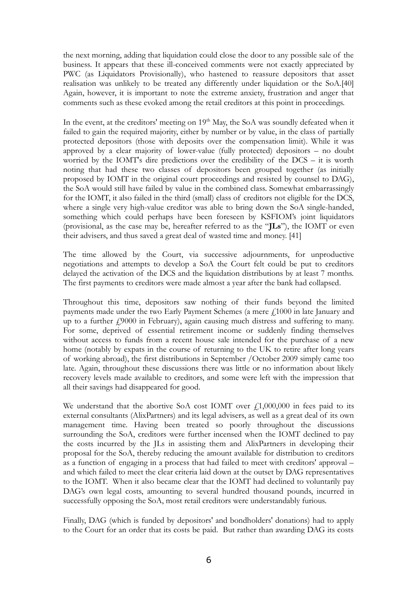the next morning, adding that liquidation could close the door to any possible sale of the business. It appears that these ill-conceived comments were not exactly appreciated by PWC (as Liquidators Provisionally), who hastened to reassure depositors that asset realisation was unlikely to be treated any differently under liquidation or the SoA.[40] Again, however, it is important to note the extreme anxiety, frustration and anger that comments such as these evoked among the retail creditors at this point in proceedings.

In the event, at the creditors' meeting on 19<sup>th</sup> May, the SoA was soundly defeated when it failed to gain the required majority, either by number or by value, in the class of partially protected depositors (those with deposits over the compensation limit). While it was approved by a clear majority of lower-value (fully protected) depositors – no doubt worried by the IOMT's dire predictions over the credibility of the DCS – it is worth noting that had these two classes of depositors been grouped together (as initially proposed by IOMT in the original court proceedings and resisted by counsel to DAG), the SoA would still have failed by value in the combined class. Somewhat embarrassingly for the IOMT, it also failed in the third (small) class of creditors not eligible for the DCS, where a single very high-value creditor was able to bring down the SoA single-handed, something which could perhaps have been foreseen by KSFIOM's joint liquidators (provisional, as the case may be, hereafter referred to as the "**JLs**"), the IOMT or even their advisers, and thus saved a great deal of wasted time and money. [41]

The time allowed by the Court, via successive adjournments, for unproductive negotiations and attempts to develop a SoA the Court felt could be put to creditors delayed the activation of the DCS and the liquidation distributions by at least 7 months. The first payments to creditors were made almost a year after the bank had collapsed.

Throughout this time, depositors saw nothing of their funds beyond the limited payments made under the two Early Payment Schemes (a mere  $f<sub>1000</sub>$  in late January and up to a further  $f(9000)$  in February), again causing much distress and suffering to many. For some, deprived of essential retirement income or suddenly finding themselves without access to funds from a recent house sale intended for the purchase of a new home (notably by expats in the course of returning to the UK to retire after long years of working abroad), the first distributions in September /October 2009 simply came too late. Again, throughout these discussions there was little or no information about likely recovery levels made available to creditors, and some were left with the impression that all their savings had disappeared for good.

We understand that the abortive SoA cost IOMT over  $f<sub>1</sub>1,000,000$  in fees paid to its external consultants (AlixPartners) and its legal advisers, as well as a great deal of its own management time. Having been treated so poorly throughout the discussions surrounding the SoA, creditors were further incensed when the IOMT declined to pay the costs incurred by the JLs in assisting them and AlixPartners in developing their proposal for the SoA, thereby reducing the amount available for distribution to creditors as a function of engaging in a process that had failed to meet with creditors' approval – and which failed to meet the clear criteria laid down at the outset by DAG representatives to the IOMT. When it also became clear that the IOMT had declined to voluntarily pay DAG's own legal costs, amounting to several hundred thousand pounds, incurred in successfully opposing the SoA, most retail creditors were understandably furious.

Finally, DAG (which is funded by depositors' and bondholders' donations) had to apply to the Court for an order that its costs be paid. But rather than awarding DAG its costs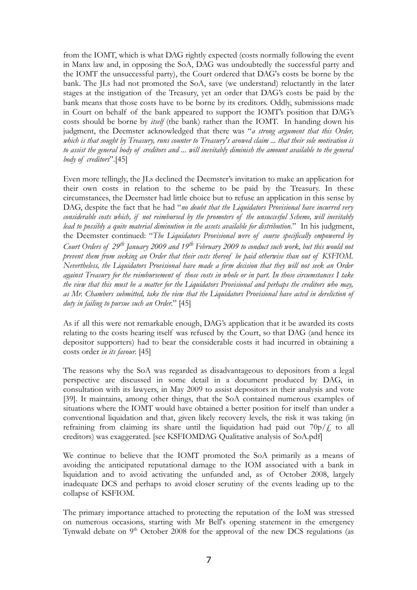from the IOMT, which is what DAG rightly expected (costs normally following the event in Manx law and, in opposing the SoA, DAG was undoubtedly the successful party and the IOMT the unsuccessful party), the Court ordered that DAG's costs be borne by the bank. The JLs had not promoted the SoA, save (we understand) reluctantly in the later stages at the instigation of the Treasury, yet an order that DAG's costs be paid by the bank means that those costs have to be borne by its creditors. Oddly, submissions made in Court on behalf of the bank appeared to support the IOMT's position that DAG's costs should be borne by *itself* (the bank) rather than the IOMT. In handing down his judgment, the Deemster acknowledged that there was "*a strong argument that this Order,* which is that sought by Treasury, runs counter to Treasury's avowed claim ... that their sole motivation is to assist the general body of creditors and ... will inevitably diminish the amount available to the general *body of creditors*".[45]

Even more tellingly, the JLs declined the Deemster's invitation to make an application for their own costs in relation to the scheme to be paid by the Treasury. In these circumstances, the Deemster had little choice but to refuse an application in this sense by DAG, despite the fact that he had "*no doubt that the Liquidators Provisional have incurred very considerable costs which, if not reimbursed by the promoters of the unsuccesful Scheme, will inevitably lead to possibly a quite material diminution in the assets available for distribution.*" In his judgment, the Deemster continued: "*The Liquidators Provisional were of course specifically empowered by* Court Orders of 29<sup>th</sup> January 2009 and 19<sup>th</sup> February 2009 to conduct such work, but this would not *prevent them from seeking an Order that their costs thereof be paid otherwise than out of KSFIOM. Nevertheless, the Liquidators Provisional have made a firm decision that they will not seek an Order* against Treasury for the reimbursement of those costs in whole or in part. In those circumstances I take the view that this must be a matter for the Liquidators Provisional and perhaps the creditors who may, *as Mr. Chambers submitted, take the view that the Liquidators Provisional have acted in dereliction of duty in failing to pursue such an Order.*" [45]

As if all this were not remarkable enough, DAG's application that it be awarded its costs relating to the costs hearing itself was refused by the Court, so that DAG (and hence its depositor supporters) had to bear the considerable costs it had incurred in obtaining a costs order *in its favour*. [45]

The reasons why the SoA was regarded as disadvantageous to depositors from a legal perspective are discussed in some detail in a document produced by DAG, in consultation with its lawyers, in May 2009 to assist depositors in their analysis and vote [39]. It maintains, among other things, that the SoA contained numerous examples of situations where the IOMT would have obtained a better position for itself than under a conventional liquidation and that, given likely recovery levels, the risk it was taking (in refraining from claiming its share until the liquidation had paid out  $70p/f$ , to all creditors) was exaggerated. [see KSFIOMDAG Qualitative analysis of SoA.pdf]

We continue to believe that the IOMT promoted the SoA primarily as a means of avoiding the anticipated reputational damage to the IOM associated with a bank in liquidation and to avoid activating the unfunded and, as of October 2008, largely inadequate DCS and perhaps to avoid closer scrutiny of the events leading up to the collapse of KSFIOM.

The primary importance attached to protecting the reputation of the IoM was stressed on numerous occasions, starting with Mr Bell's opening statement in the emergency Tynwald debate on 9<sup>th</sup> October 2008 for the approval of the new DCS regulations (as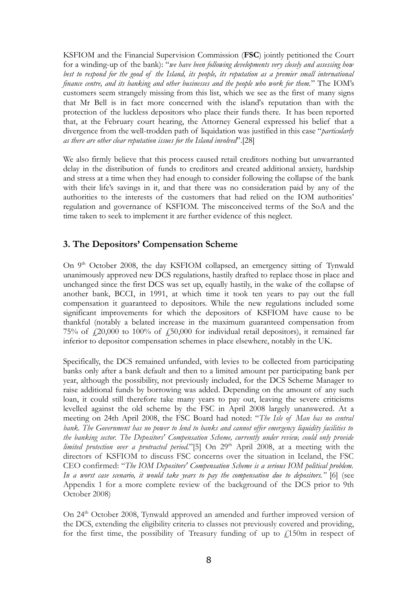KSFIOM and the Financial Supervision Commission (**FSC**) jointly petitioned the Court for a winding-up of the bank): "*we have been following developments very closely and assessing how* best to respond for the good of the Island, its people, its reputation as a premier small international *finance centre, and its banking and other businesses and the people who work for them.*" The IOM's customers seem strangely missing from this list, which we see as the first of many signs that Mr Bell is in fact more concerned with the island's reputation than with the protection of the luckless depositors who place their funds there. It has been reported that, at the February court hearing, the Attorney General expressed his belief that a divergence from the well-trodden path of liquidation was justified in this case "*particularly as there are other clear reputation issues for the Island involved*".[28]

We also firmly believe that this process caused retail creditors nothing but unwarranted delay in the distribution of funds to creditors and created additional anxiety, hardship and stress at a time when they had enough to consider following the collapse of the bank with their life's savings in it, and that there was no consideration paid by any of the authorities to the interests of the customers that had relied on the IOM authorities' regulation and governance of KSFIOM. The misconceived terms of the SoA and the time taken to seek to implement it are further evidence of this neglect.

## **3. The Depositors' Compensation Scheme**

On 9<sup>th</sup> October 2008, the day KSFIOM collapsed, an emergency sitting of Tynwald unanimously approved new DCS regulations, hastily drafted to replace those in place and unchanged since the first DCS was set up, equally hastily, in the wake of the collapse of another bank, BCCI, in 1991, at which time it took ten years to pay out the full compensation it guaranteed to depositors. While the new regulations included some significant improvements for which the depositors of KSFIOM have cause to be thankful (notably a belated increase in the maximum guaranteed compensation from 75% of  $\mu$ 20,000 to 100% of  $\mu$ 50,000 for individual retail depositors), it remained far inferior to depositor compensation schemes in place elsewhere, notably in the UK.

Specifically, the DCS remained unfunded, with levies to be collected from participating banks only after a bank default and then to a limited amount per participating bank per year, although the possibility, not previously included, for the DCS Scheme Manager to raise additional funds by borrowing was added. Depending on the amount of any such loan, it could still therefore take many years to pay out, leaving the severe criticisms levelled against the old scheme by the FSC in April 2008 largely unanswered. At a meeting on 24th April 2008, the FSC Board had noted: "*The Isle of Man has no central bank. The Government has no power to lend to banks and cannot offer emergency liquidity facilities to the banking sector. The Depositors' Compensation Scheme, currently under review, could only provide* limited protection over a protracted period."[5] On 29<sup>th</sup> April 2008, at a meeting with the directors of KSFIOM to discuss FSC concerns over the situation in Iceland, the FSC CEO confirmed: "*The IOM Depositors' Compensation Scheme is a serious IOM political problem. In a worst case scenario, it would take years to pay the compensation due to depositors."* [6] (see Appendix 1 for a more complete review of the background of the DCS prior to 9th October 2008)

On 24<sup>th</sup> October 2008, Tynwald approved an amended and further improved version of the DCS, extending the eligibility criteria to classes not previously covered and providing, for the first time, the possibility of Treasury funding of up to  $f$ 150m in respect of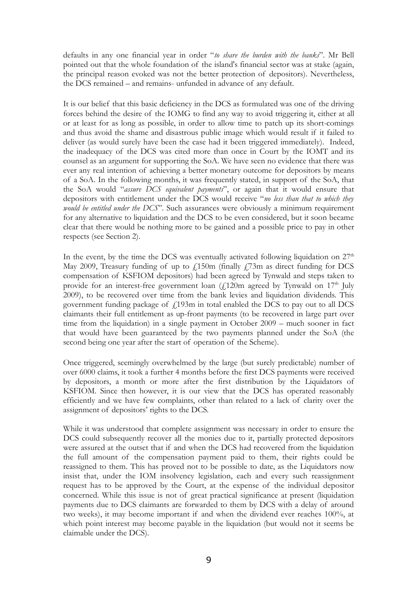defaults in any one financial year in order "*to share the burden with the banks*". Mr Bell pointed out that the whole foundation of the island's financial sector was at stake (again, the principal reason evoked was not the better protection of depositors). Nevertheless, the DCS remained – and remains- unfunded in advance of any default.

It is our belief that this basic deficiency in the DCS as formulated was one of the driving forces behind the desire of the IOMG to find any way to avoid triggering it, either at all or at least for as long as possible, in order to allow time to patch up its short-comings and thus avoid the shame and disastrous public image which would result if it failed to deliver (as would surely have been the case had it been triggered immediately). Indeed, the inadequacy of the DCS was cited more than once in Court by the IOMT and its counsel as an argument for supporting the SoA. We have seen no evidence that there was ever any real intention of achieving a better monetary outcome for depositors by means of a SoA. In the following months, it was frequently stated, in support of the SoA, that the SoA would "*assure DCS equivalent payments*", or again that it would ensure that depositors with entitlement under the DCS would receive "*no less than that to which they would be entitled under the DCS*". Such assurances were obviously a minimum requirement for any alternative to liquidation and the DCS to be even considered, but it soon became clear that there would be nothing more to be gained and a possible price to pay in other respects (see Section 2).

In the event, by the time the DCS was eventually activated following liquidation on  $27<sup>th</sup>$ May 2009, Treasury funding of up to  $\frac{150m}{150m}$  (finally  $\frac{173m}{150m}$  as direct funding for DCS compensation of KSFIOM depositors) had been agreed by Tynwald and steps taken to provide for an interest-free government loan (£120m agreed by Tynwald on 17<sup>th</sup> July 2009), to be recovered over time from the bank levies and liquidation dividends. This government funding package of  $f$ 193m in total enabled the DCS to pay out to all DCS claimants their full entitlement as up-front payments (to be recovered in large part over time from the liquidation) in a single payment in October 2009 – much sooner in fact that would have been guaranteed by the two payments planned under the SoA (the second being one year after the start of operation of the Scheme).

Once triggered, seemingly overwhelmed by the large (but surely predictable) number of over 6000 claims, it took a further 4 months before the first DCS payments were received by depositors, a month or more after the first distribution by the Liquidators of KSFIOM. Since then however, it is our view that the DCS has operated reasonably efficiently and we have few complaints, other than related to a lack of clarity over the assignment of depositors' rights to the DCS.

While it was understood that complete assignment was necessary in order to ensure the DCS could subsequently recover all the monies due to it, partially protected depositors were assured at the outset that if and when the DCS had recovered from the liquidation the full amount of the compensation payment paid to them, their rights could be reassigned to them. This has proved not to be possible to date, as the Liquidators now insist that, under the IOM insolvency legislation, each and every such reassignment request has to be approved by the Court, at the expense of the individual depositor concerned. While this issue is not of great practical significance at present (liquidation payments due to DCS claimants are forwarded to them by DCS with a delay of around two weeks), it may become important if and when the dividend ever reaches 100%, at which point interest may become payable in the liquidation (but would not it seems be claimable under the DCS).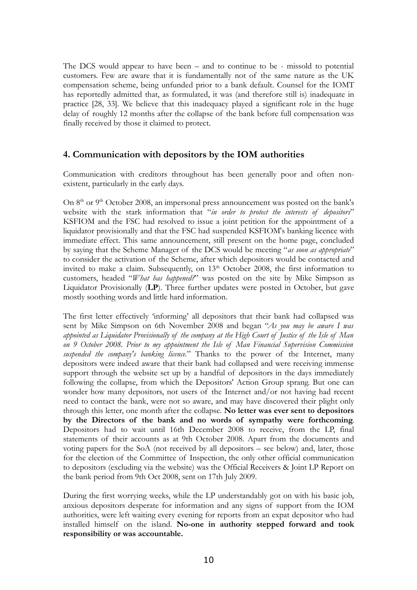The DCS would appear to have been – and to continue to be - missold to potential customers. Few are aware that it is fundamentally not of the same nature as the UK compensation scheme, being unfunded prior to a bank default. Counsel for the IOMT has reportedly admitted that, as formulated, it was (and therefore still is) inadequate in practice [28, 33]. We believe that this inadequacy played a significant role in the huge delay of roughly 12 months after the collapse of the bank before full compensation was finally received by those it claimed to protect.

### **4. Communication with depositors by the IOM authorities**

Communication with creditors throughout has been generally poor and often nonexistent, particularly in the early days.

On 8<sup>th</sup> or 9<sup>th</sup> October 2008, an impersonal press announcement was posted on the bank's website with the stark information that "*in order to protect the interests of depositors*" KSFIOM and the FSC had resolved to issue a joint petition for the appointment of a liquidator provisionally and that the FSC had suspended KSFIOM's banking licence with immediate effect. This same announcement, still present on the home page, concluded by saying that the Scheme Manager of the DCS would be meeting "*as soon as appropriate*" to consider the activation of the Scheme, after which depositors would be contacted and invited to make a claim. Subsequently, on 13<sup>th</sup> October 2008, the first information to customers, headed "*What has happened?*" was posted on the site by Mike Simpson as Liquidator Provisionally (**LP**). Three further updates were posted in October, but gave mostly soothing words and little hard information.

The first letter effectively 'informing' all depositors that their bank had collapsed was sent by Mike Simpson on 6th November 2008 and began "*As you may be aware I was* appointed as Liquidator Provisionally of the company at the High Court of Justice of the Isle of Man *on 9 October 2008. Prior to my appointment the Isle of Man Financial Supervision Commission suspended the company's banking licence.*" Thanks to the power of the Internet, many depositors were indeed aware that their bank had collapsed and were receiving immense support through the website set up by a handful of depositors in the days immediately following the collapse, from which the Depositors' Action Group sprang. But one can wonder how many depositors, not users of the Internet and/or not having had recent need to contact the bank, were not so aware, and may have discovered their plight only through this letter, one month after the collapse. **No letter was ever sent to depositors by the Directors of the bank and no words of sympathy were forthcoming**. Depositors had to wait until 16th December 2008 to receive, from the LP, final statements of their accounts as at 9th October 2008. Apart from the documents and voting papers for the SoA (not received by all depositors – see below) and, later, those for the election of the Committee of Inspection, the only other official communication to depositors (excluding via the website) was the Official Receivers & Joint LP Report on the bank period from 9th Oct 2008, sent on 17th July 2009.

During the first worrying weeks, while the LP understandably got on with his basic job, anxious depositors desperate for information and any signs of support from the IOM authorities, were left waiting every evening for reports from an expat depositor who had installed himself on the island. **No-one in authority stepped forward and took responsibility or was accountable.**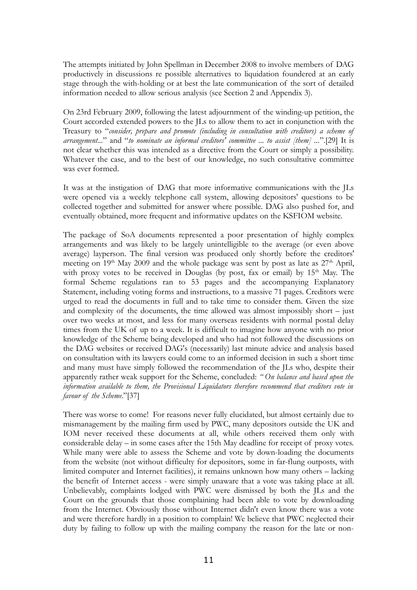The attempts initiated by John Spellman in December 2008 to involve members of DAG productively in discussions re possible alternatives to liquidation foundered at an early stage through the with-holding or at best the late communication of the sort of detailed information needed to allow serious analysis (see Section 2 and Appendix 3).

On 23rd February 2009, following the latest adjournment of the winding-up petition, the Court accorded extended powers to the JLs to allow them to act in conjunction with the Treasury to "*consider, prepare and promote (including in consultation with creditors) a scheme of arrangement...*" and "*to nominate an informal creditors' committee ... to assist [them] ...*".[29] It is not clear whether this was intended as a directive from the Court or simply a possibility. Whatever the case, and to the best of our knowledge, no such consultative committee was ever formed.

It was at the instigation of DAG that more informative communications with the JLs were opened via a weekly telephone call system, allowing depositors' questions to be collected together and submitted for answer where possible. DAG also pushed for, and eventually obtained, more frequent and informative updates on the KSFIOM website.

The package of SoA documents represented a poor presentation of highly complex arrangements and was likely to be largely unintelligible to the average (or even above average) layperson. The final version was produced only shortly before the creditors' meeting on 19<sup>th</sup> May 2009 and the whole package was sent by post as late as 27<sup>th</sup> April, with proxy votes to be received in Douglas (by post, fax or email) by 15<sup>th</sup> May. The formal Scheme regulations ran to 53 pages and the accompanying Explanatory Statement, including voting forms and instructions, to a massive 71 pages. Creditors were urged to read the documents in full and to take time to consider them. Given the size and complexity of the documents, the time allowed was almost impossibly short – just over two weeks at most, and less for many overseas residents with normal postal delay times from the UK of up to a week. It is difficult to imagine how anyone with no prior knowledge of the Scheme being developed and who had not followed the discussions on the DAG websites or received DAG's (necessarily) last minute advice and analysis based on consultation with its lawyers could come to an informed decision in such a short time and many must have simply followed the recommendation of the JLs who, despite their apparently rather weak support for the Scheme, concluded: *" On balance and based upon the information available to them, the Provisional Liquidators therefore recommend that creditors vote in favour of the Scheme*."[37]

There was worse to come! For reasons never fully elucidated, but almost certainly due to mismanagement by the mailing firm used by PWC, many depositors outside the UK and IOM never received these documents at all, while others received them only with considerable delay – in some cases after the 15th May deadline for receipt of proxy votes. While many were able to assess the Scheme and vote by down-loading the documents from the website (not without difficulty for depositors, some in far-flung outposts, with limited computer and Internet facilities), it remains unknown how many others – lacking the benefit of Internet access - were simply unaware that a vote was taking place at all. Unbelievably, complaints lodged with PWC were dismissed by both the JLs and the Court on the grounds that those complaining had been able to vote by downloading from the Internet. Obviously those without Internet didn't even know there was a vote and were therefore hardly in a position to complain! We believe that PWC neglected their duty by failing to follow up with the mailing company the reason for the late or non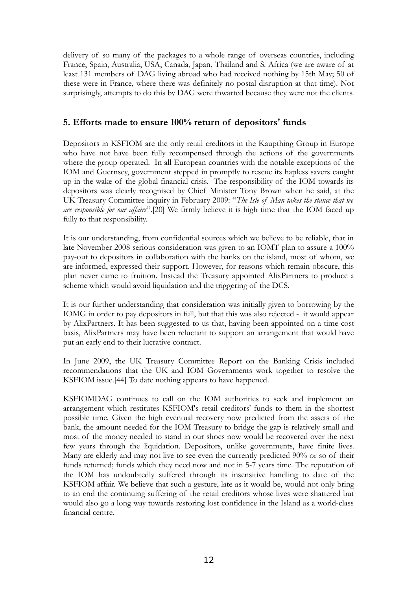delivery of so many of the packages to a whole range of overseas countries, including France, Spain, Australia, USA, Canada, Japan, Thailand and S. Africa (we are aware of at least 131 members of DAG living abroad who had received nothing by 15th May; 50 of these were in France, where there was definitely no postal disruption at that time). Not surprisingly, attempts to do this by DAG were thwarted because they were not the clients.

### **5. Efforts made to ensure 100% return of depositors' funds**

Depositors in KSFIOM are the only retail creditors in the Kaupthing Group in Europe who have not have been fully recompensed through the actions of the governments where the group operated. In all European countries with the notable exceptions of the IOM and Guernsey, government stepped in promptly to rescue its hapless savers caught up in the wake of the global financial crisis. The responsibility of the IOM towards its depositors was clearly recognised by Chief Minister Tony Brown when he said, at the UK Treasury Committee inquiry in February 2009: "*The Isle of Man takes the stance that we are responsible for our affairs*".[20] We firmly believe it is high time that the IOM faced up fully to that responsibility.

It is our understanding, from confidential sources which we believe to be reliable, that in late November 2008 serious consideration was given to an IOMT plan to assure a 100% pay-out to depositors in collaboration with the banks on the island, most of whom, we are informed, expressed their support. However, for reasons which remain obscure, this plan never came to fruition. Instead the Treasury appointed AlixPartners to produce a scheme which would avoid liquidation and the triggering of the DCS.

It is our further understanding that consideration was initially given to borrowing by the IOMG in order to pay depositors in full, but that this was also rejected - it would appear by AlixPartners. It has been suggested to us that, having been appointed on a time cost basis, AlixPartners may have been reluctant to support an arrangement that would have put an early end to their lucrative contract.

In June 2009, the UK Treasury Committee Report on the Banking Crisis included recommendations that the UK and IOM Governments work together to resolve the KSFIOM issue.[44] To date nothing appears to have happened.

KSFIOMDAG continues to call on the IOM authorities to seek and implement an arrangement which restitutes KSFIOM's retail creditors' funds to them in the shortest possible time. Given the high eventual recovery now predicted from the assets of the bank, the amount needed for the IOM Treasury to bridge the gap is relatively small and most of the money needed to stand in our shoes now would be recovered over the next few years through the liquidation. Depositors, unlike governments, have finite lives. Many are elderly and may not live to see even the currently predicted 90% or so of their funds returned; funds which they need now and not in 5-7 years time. The reputation of the IOM has undoubtedly suffered through its insensitive handling to date of the KSFIOM affair. We believe that such a gesture, late as it would be, would not only bring to an end the continuing suffering of the retail creditors whose lives were shattered but would also go a long way towards restoring lost confidence in the Island as a world-class financial centre.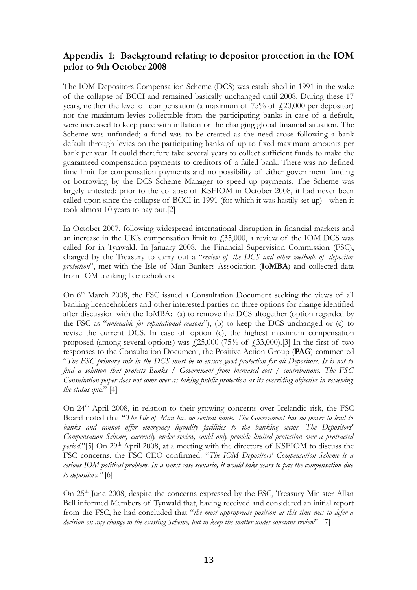# **Appendix 1: Background relating to depositor protection in the IOM prior to 9th October 2008**

The IOM Depositors Compensation Scheme (DCS) was established in 1991 in the wake of the collapse of BCCI and remained basically unchanged until 2008. During these 17 years, neither the level of compensation (a maximum of  $75\%$  of  $\text{\textsterling}20,000$  per depositor) nor the maximum levies collectable from the participating banks in case of a default, were increased to keep pace with inflation or the changing global financial situation. The Scheme was unfunded; a fund was to be created as the need arose following a bank default through levies on the participating banks of up to fixed maximum amounts per bank per year. It could therefore take several years to collect sufficient funds to make the guaranteed compensation payments to creditors of a failed bank. There was no defined time limit for compensation payments and no possibility of either government funding or borrowing by the DCS Scheme Manager to speed up payments. The Scheme was largely untested; prior to the collapse of KSFIOM in October 2008, it had never been called upon since the collapse of BCCI in 1991 (for which it was hastily set up) - when it took almost 10 years to pay out.[2]

In October 2007, following widespread international disruption in financial markets and an increase in the UK's compensation limit to  $\text{\textsterling}35,000$ , a review of the IOM DCS was called for in Tynwald. In January 2008, the Financial Supervision Commission (FSC), charged by the Treasury to carry out a "*review of the DCS and other methods of depositor protection*", met with the Isle of Man Bankers Association (**IoMBA**) and collected data from IOM banking licenceholders.

On 6<sup>th</sup> March 2008, the FSC issued a Consultation Document seeking the views of all banking licenceholders and other interested parties on three options for change identified after discussion with the IoMBA: (a) to remove the DCS altogether (option regarded by the FSC as "*untenable for reputational reasons*"), (b) to keep the DCS unchanged or (c) to revise the current DCS. In case of option (c), the highest maximum compensation proposed (among several options) was  $\frac{1}{25,000}$  (75% of  $\frac{1}{2,33,000}$ ).[3] In the first of two responses to the Consultation Document, the Positive Action Group (**PAG**) commented "The FSC primary role in the DCS must be to ensure good protection for all Depositors. It is not to *find a solution that protects Banks / Government from increased cost / contributions. The FSC Consultation paper does not come over as taking public protection as its overriding objective in reviewing the status quo.*" [4]

On 24<sup>th</sup> April 2008, in relation to their growing concerns over Icelandic risk, the FSC Board noted that "*The Isle of Man has no central bank. The Government has no power to lend to banks and cannot offer emergency liquidity facilities to the banking sector. The Depositors' Compensation Scheme, currently under review, could only provide limited protection over a protracted* period."[5] On 29<sup>th</sup> April 2008, at a meeting with the directors of KSFIOM to discuss the FSC concerns, the FSC CEO confirmed: "*The IOM Depositors' Compensation Scheme is a* serious IOM political problem. In a worst case scenario, it would take years to pay the compensation due *to depositors."* [6]

On 25<sup>th</sup> June 2008, despite the concerns expressed by the FSC, Treasury Minister Allan Bell informed Members of Tynwald that, having received and considered an initial report from the FSC, he had concluded that "*the most appropriate position at this time was to defer a decision on any change to the existing Scheme, but to keep the matter under constant review*". [7]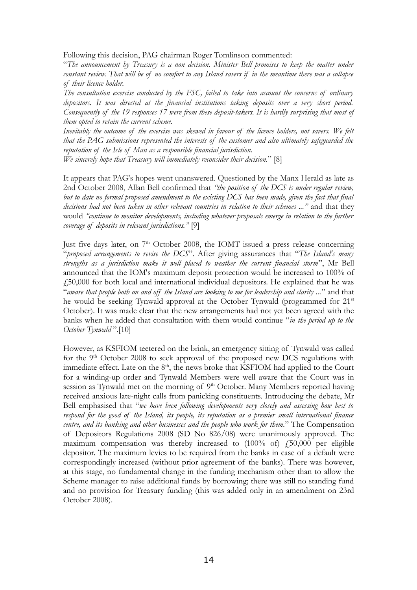Following this decision, PAG chairman Roger Tomlinson commented:

"*The announcement by Treasury is a non decision. Minister Bell promises to keep the matter under* constant review. That will be of no comfort to any Island savers if in the meantime there was a collapse *of their licence holder.*

*The consultation exercise conducted by the FSC, failed to take into account the concerns of ordinary depositors. It was directed at the financial institutions taking deposits over a very short period. Consequently of the 19 responses 17 were from these deposit-takers. It is hardly surprising that most of them opted to retain the current scheme.*

Inevitably the outcome of the exercise was skewed in favour of the licence holders, not savers. We felt *that the PAG submissions represented the interests of the customer and also ultimately safeguarded the reputation of the Isle of Man as a responsible financial jurisdiction.*

*We sincerely hope that Treasury will immediately reconsider their decision.*" [8]

It appears that PAG's hopes went unanswered. Questioned by the Manx Herald as late as 2nd October 2008, Allan Bell confirmed that *"the position of the DCS is under regular review,* but to date no formal proposed amendment to the existing DCS has been made, given the fact that final *decisions had not been taken in other relevant countries in relation to their schemes ..."* and that they would *"continue to monitor developments, including whatever proposals emerge in relation to the further coverage of deposits in relevant jurisdictions."* [9]

Just five days later, on 7<sup>th</sup> October 2008, the IOMT issued a press release concerning "*proposed arrangements to revise the DCS*". After giving assurances that "*The Island's many strengths as a jurisdiction make it well placed to weather the current financial storm*", Mr Bell announced that the IOM's maximum deposit protection would be increased to 100% of £50,000 for both local and international individual depositors. He explained that he was "aware that people both on and off the Island are looking to me for leadership and clarity..." and that he would be seeking Tynwald approval at the October Tynwald (programmed for 21<sup>st</sup> October). It was made clear that the new arrangements had not yet been agreed with the banks when he added that consultation with them would continue "*in the period up to the October Tynwald* ".[10]

However, as KSFIOM teetered on the brink, an emergency sitting of Tynwald was called for the 9<sup>th</sup> October 2008 to seek approval of the proposed new DCS regulations with immediate effect. Late on the  $8<sup>th</sup>$ , the news broke that KSFIOM had applied to the Court for a winding-up order and Tynwald Members were well aware that the Court was in session as Tynwald met on the morning of 9<sup>th</sup> October. Many Members reported having received anxious late-night calls from panicking constituents. Introducing the debate, Mr Bell emphasised that "*we have been following developments very closely and assessing how best to respond for the good of the Island, its people, its reputation as a premier small international finance centre, and its banking and other businesses and the people who work for them.*" The Compensation of Depositors Regulations 2008 (SD No 826/08) were unanimously approved. The maximum compensation was thereby increased to  $(100\% \text{ of})$   $f_{15}^{50,000}$  per eligible depositor. The maximum levies to be required from the banks in case of a default were correspondingly increased (without prior agreement of the banks). There was however, at this stage, no fundamental change in the funding mechanism other than to allow the Scheme manager to raise additional funds by borrowing; there was still no standing fund and no provision for Treasury funding (this was added only in an amendment on 23rd October 2008).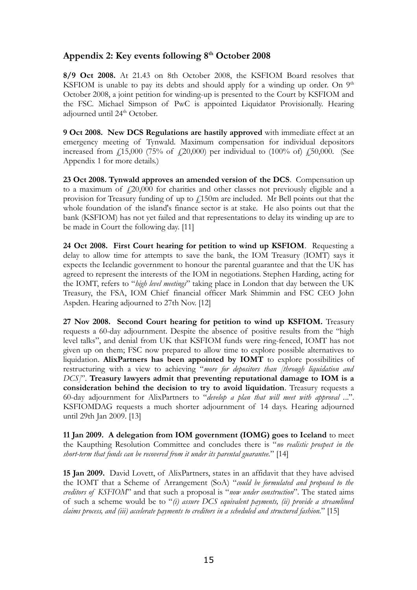# **Appendix 2: Key events following 8 th October 2008**

**8/9 Oct 2008.** At 21.43 on 8th October 2008, the KSFIOM Board resolves that KSFIOM is unable to pay its debts and should apply for a winding up order. On  $9<sup>th</sup>$ October 2008, a joint petition for winding-up is presented to the Court by KSFIOM and the FSC. Michael Simpson of PwC is appointed Liquidator Provisionally. Hearing adjourned until 24<sup>th</sup> October.

**9 Oct 2008. New DCS Regulations are hastily approved** with immediate effect at an emergency meeting of Tynwald. Maximum compensation for individual depositors increased from  $\frac{15,000}{75\%}$  of  $\frac{120,000}{9}$  per individual to  $\left(\frac{100\%}{90}, \frac{150,000}{150}\right)$ . (See Appendix 1 for more details.)

**23 Oct 2008. Tynwald approves an amended version of the DCS**. Compensation up to a maximum of  $f(20,000)$  for charities and other classes not previously eligible and a provision for Treasury funding of up to  $\ell$ 150m are included. Mr Bell points out that the whole foundation of the island's finance sector is at stake. He also points out that the bank (KSFIOM) has not yet failed and that representations to delay its winding up are to be made in Court the following day. [11]

**24 Oct 2008. First Court hearing for petition to wind up KSFIOM**. Requesting a delay to allow time for attempts to save the bank, the IOM Treasury (IOMT) says it expects the Icelandic government to honour the parental guarantee and that the UK has agreed to represent the interests of the IOM in negotiations. Stephen Harding, acting for the IOMT, refers to "*high level meetings*" taking place in London that day between the UK Treasury, the FSA, IOM Chief financial officer Mark Shimmin and FSC CEO John Aspden. Hearing adjourned to 27th Nov. [12]

**27 Nov 2008. Second Court hearing for petition to wind up KSFIOM.** Treasury requests a 60-day adjournment. Despite the absence of positive results from the "high level talks", and denial from UK that KSFIOM funds were ring-fenced, IOMT has not given up on them; FSC now prepared to allow time to explore possible alternatives to liquidation. **AlixPartners has been appointed by IOMT** to explore possibilities of restructuring with a view to achieving "*more for depositors than [through liquidation and DCS]*". **Treasury lawyers admit that preventing reputational damage to IOM is a consideration behind the decision to try to avoid liquidation**. Treasury requests a 60-day adjournment for AlixPartners to "*develop a plan that will meet with approval .*..". KSFIOMDAG requests a much shorter adjournment of 14 days. Hearing adjourned until 29th Jan 2009. [13]

**11 Jan 2009. A delegation from IOM government (IOMG) goes to Iceland** to meet the Kaupthing Resolution Committee and concludes there is "*no realistic prospect in the short-term that funds can be recovered from it under its parental guarantee.*" [14]

**15 Jan 2009.** David Lovett, of AlixPartners, states in an affidavit that they have advised the IOMT that a Scheme of Arrangement (SoA) "*could be formulated and proposed to the creditors of KSFIOM*" and that such a proposal is "*now under construction*". The stated aims of such a scheme would be to "*(i) assure DCS equivalent payments, (ii) provide a streamlined claims process, and (iii) accelerate payments to creditors in a scheduled and structured fashion.*" [15]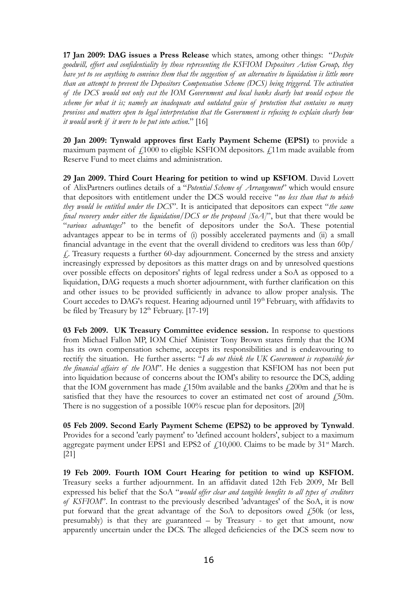**17 Jan 2009: DAG issues a Press Release** which states, among other things: "*Despite goodwill, effort and confidentiality by those representing the KSFIOM Depositors Action Group, they* have yet to see anything to convince them that the suggestion of an alternative to liquidation is little more *than an attempt to prevent the Depositors Compensation Scheme (DCS) being triggered. The activation of the DCS would not only cost the IOM Government and local banks dearly but would expose the scheme for what it is; namely an inadequate and outdated guise of protection that contains so many provisos and matters open to legal interpretation that the Government is refusing to explain clearly how it would work if it were to be put into action.*" [16]

**20 Jan 2009: Tynwald approves first Early Payment Scheme (EPS1)** to provide a maximum payment of  $f1000$  to eligible KSFIOM depositors.  $f11m$  made available from Reserve Fund to meet claims and administration.

**29 Jan 2009. Third Court Hearing for petition to wind up KSFIOM**. David Lovett of AlixPartners outlines details of a "*Potential Scheme of Arrangement*" which would ensure that depositors with entitlement under the DCS would receive "*no less than that to which they would be entitled under the DCS*". It is anticipated that depositors can expect "*the same final recovery under either the liquidation/DCS or the proposed [SoA]*", but that there would be "*various advantages*" to the benefit of depositors under the SoA. These potential advantages appear to be in terms of (i) possibly accelerated payments and (ii) a small financial advantage in the event that the overall dividend to creditors was less than 60p/ £. Treasury requests a further 60-day adjournment. Concerned by the stress and anxiety increasingly expressed by depositors as this matter drags on and by unresolved questions over possible effects on depositors' rights of legal redress under a SoA as opposed to a liquidation, DAG requests a much shorter adjournment, with further clarification on this and other issues to be provided sufficiently in advance to allow proper analysis. The Court accedes to DAG's request. Hearing adjourned until 19<sup>th</sup> February, with affidavits to be filed by Treasury by 12<sup>th</sup> February. [17-19]

**03 Feb 2009. UK Treasury Committee evidence session.** In response to questions from Michael Fallon MP, IOM Chief Minister Tony Brown states firmly that the IOM has its own compensation scheme, accepts its responsibilities and is endeavouring to rectify the situation. He further asserts: "*I do not think the UK Government is responsible for the financial affairs of the IOM*". He denies a suggestion that KSFIOM has not been put into liquidation because of concerns about the IOM's ability to resource the DCS, adding that the IOM government has made  $\ell$ 150m available and the banks  $\ell$ 200m and that he is satisfied that they have the resources to cover an estimated net cost of around  $f_1$ 50m. There is no suggestion of a possible 100% rescue plan for depositors. [20]

**05 Feb 2009. Second Early Payment Scheme (EPS2) to be approved by Tynwald**. Provides for a second 'early payment' to 'defined account holders', subject to a maximum aggregate payment under EPS1 and EPS2 of  $\text{\textsterling}10,000$ . Claims to be made by 31<sup>st</sup> March. [21]

**19 Feb 2009. Fourth IOM Court Hearing for petition to wind up KSFIOM.** Treasury seeks a further adjournment. In an affidavit dated 12th Feb 2009, Mr Bell expressed his belief that the SoA "*would offer clear and tangible benefits to all types of creditors of KSFIOM*". In contrast to the previously described 'advantages' of the SoA, it is now put forward that the great advantage of the SoA to depositors owed  $\angle$  50k (or less, presumably) is that they are guaranteed – by Treasury - to get that amount, now apparently uncertain under the DCS. The alleged deficiencies of the DCS seem now to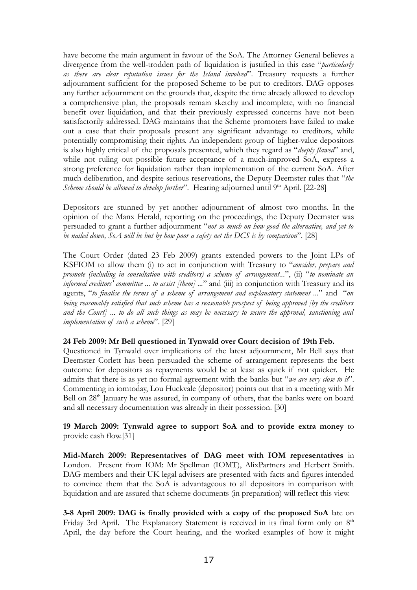have become the main argument in favour of the SoA. The Attorney General believes a divergence from the well-trodden path of liquidation is justified in this case "*particularly as there are clear reputation issues for the Island involved*". Treasury requests a further adjournment sufficient for the proposed Scheme to be put to creditors. DAG opposes any further adjournment on the grounds that, despite the time already allowed to develop a comprehensive plan, the proposals remain sketchy and incomplete, with no financial benefit over liquidation, and that their previously expressed concerns have not been satisfactorily addressed. DAG maintains that the Scheme promoters have failed to make out a case that their proposals present any significant advantage to creditors, while potentially compromising their rights. An independent group of higher-value depositors is also highly critical of the proposals presented, which they regard as "*deeply flawed*" and, while not ruling out possible future acceptance of a much-improved SoA, express a strong preference for liquidation rather than implementation of the current SoA. After much deliberation, and despite serious reservations, the Deputy Deemster rules that "*the Scheme should be allowed to develop further*". Hearing adjourned until 9 th April. [22-28]

Depositors are stunned by yet another adjournment of almost two months. In the opinion of the Manx Herald, reporting on the proceedings, the Deputy Deemster was persuaded to grant a further adjournment "*not so much on how good the alternative, and yet to be nailed down, SoA will be but by how poor a safety net the DCS is by comparison*". [28]

The Court Order (dated 23 Feb 2009) grants extended powers to the Joint LPs of KSFIOM to allow them (i) to act in conjunction with Treasury to "*consider, prepare and promote (including in consultation with creditors) a scheme of arrangement...*", (ii) "*to nominate an informal creditors' committee ... to assist [them] ...*" and (iii) in conjunction with Treasury and its agents, "*to finalise the terms of a scheme of arrangement and explanatory statement ...*" and "*on being reasonably satisfied that such scheme has a reasonable prospect of being approved [by the creditors* and the Court] ... to do all such things as may be necessary to secure the approval, sanctioning and *implementation of such a scheme*". [29]

#### **24 Feb 2009: Mr Bell questioned in Tynwald over Court decision of 19th Feb.**

Questioned in Tynwald over implications of the latest adjournment, Mr Bell says that Deemster Corlett has been persuaded the scheme of arrangement represents the best outcome for depositors as repayments would be at least as quick if not quicker. He admits that there is as yet no formal agreement with the banks but "*we are very close to it*". Commenting in iomtoday, Lou Huckvale (depositor) points out that in a meeting with Mr Bell on 28<sup>th</sup> January he was assured, in company of others, that the banks were on board and all necessary documentation was already in their possession. [30]

### **19 March 2009: Tynwald agree to support SoA and to provide extra money** to provide cash flow.[31]

**Mid-March 2009: Representatives of DAG meet with IOM representatives** in London. Present from IOM: Mr Spellman (IOMT), AlixPartners and Herbert Smith. DAG members and their UK legal advisers are presented with facts and figures intended to convince them that the SoA is advantageous to all depositors in comparison with liquidation and are assured that scheme documents (in preparation) will reflect this view.

**3-8 April 2009: DAG is finally provided with a copy of the proposed SoA** late on Friday 3rd April. The Explanatory Statement is received in its final form only on 8<sup>th</sup> April, the day before the Court hearing, and the worked examples of how it might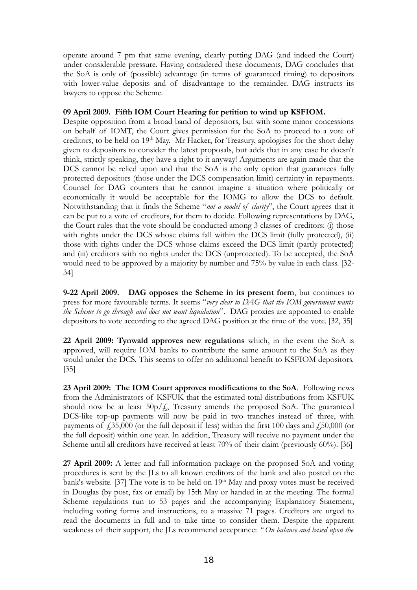operate around 7 pm that same evening, clearly putting DAG (and indeed the Court) under considerable pressure. Having considered these documents, DAG concludes that the SoA is only of (possible) advantage (in terms of guaranteed timing) to depositors with lower-value deposits and of disadvantage to the remainder. DAG instructs its lawyers to oppose the Scheme.

### **09 April 2009. Fifth IOM Court Hearing for petition to wind up KSFIOM.**

Despite opposition from a broad band of depositors, but with some minor concessions on behalf of IOMT, the Court gives permission for the SoA to proceed to a vote of creditors, to be held on 19<sup>th</sup> May. Mr Hacker, for Treasury, apologises for the short delay given to depositors to consider the latest proposals, but adds that in any case he doesn't think, strictly speaking, they have a right to it anyway! Arguments are again made that the DCS cannot be relied upon and that the SoA is the only option that guarantees fully protected depositors (those under the DCS compensation limit) certainty in repayments. Counsel for DAG counters that he cannot imagine a situation where politically or economically it would be acceptable for the IOMG to allow the DCS to default. Notwithstanding that it finds the Scheme "*not a model of clarity*", the Court agrees that it can be put to a vote of creditors, for them to decide. Following representations by DAG, the Court rules that the vote should be conducted among 3 classes of creditors: (i) those with rights under the DCS whose claims fall within the DCS limit (fully protected), (ii) those with rights under the DCS whose claims exceed the DCS limit (partly protected) and (iii) creditors with no rights under the DCS (unprotected). To be accepted, the SoA would need to be approved by a majority by number and 75% by value in each class. [32- 34]

**9-22 April 2009. DAG opposes the Scheme in its present form**, but continues to press for more favourable terms. It seems "*very clear to DAG that the IOM government wants the Scheme to go through and does not want liquidation*". DAG proxies are appointed to enable depositors to vote according to the agreed DAG position at the time of the vote. [32, 35]

**22 April 2009: Tynwald approves new regulations** which, in the event the SoA is approved, will require IOM banks to contribute the same amount to the SoA as they would under the DCS. This seems to offer no additional benefit to KSFIOM depositors. [35]

**23 April 2009: The IOM Court approves modifications to the SoA**. Following news from the Administrators of KSFUK that the estimated total distributions from KSFUK should now be at least  $50p/f$ , Treasury amends the proposed SoA. The guaranteed DCS-like top-up payments will now be paid in two tranches instead of three, with payments of  $\ddot{=}$  55,000 (or the full deposit if less) within the first 100 days and  $\ddot{=}$  50,000 (or the full deposit) within one year. In addition, Treasury will receive no payment under the Scheme until all creditors have received at least 70% of their claim (previously 60%). [36]

**27 April 2009:** A letter and full information package on the proposed SoA and voting procedures is sent by the JLs to all known creditors of the bank and also posted on the bank's website. [37] The vote is to be held on 19<sup>th</sup> May and proxy votes must be received in Douglas (by post, fax or email) by 15th May or handed in at the meeting. The formal Scheme regulations run to 53 pages and the accompanying Explanatory Statement, including voting forms and instructions, to a massive 71 pages. Creditors are urged to read the documents in full and to take time to consider them. Despite the apparent weakness of their support, the JLs recommend acceptance: *" On balance and based upon the*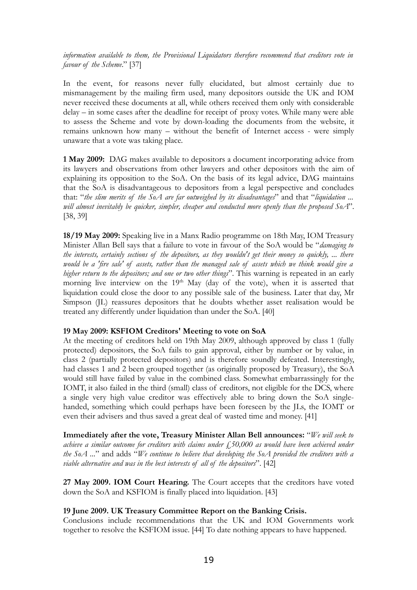*information available to them, the Provisional Liquidators therefore recommend that creditors vote in favour of the Scheme*." [37]

In the event, for reasons never fully elucidated, but almost certainly due to mismanagement by the mailing firm used, many depositors outside the UK and IOM never received these documents at all, while others received them only with considerable delay – in some cases after the deadline for receipt of proxy votes. While many were able to assess the Scheme and vote by down-loading the documents from the website, it remains unknown how many – without the benefit of Internet access - were simply unaware that a vote was taking place.

**1 May 2009:** DAG makes available to depositors a document incorporating advice from its lawyers and observations from other lawyers and other depositors with the aim of explaining its opposition to the SoA. On the basis of its legal advice, DAG maintains that the SoA is disadvantageous to depositors from a legal perspective and concludes that: "*the slim merits of the SoA are far outweighed by its disadvantages*" and that "*liquidation ... will almost inevitably be quicker, simpler, cheaper and conducted more openly than the proposed SoA*". [38, 39]

**18/19 May 2009:** Speaking live in a Manx Radio programme on 18th May, IOM Treasury Minister Allan Bell says that a failure to vote in favour of the SoA would be "*damaging to* the interests, certainly sections of the depositors, as they wouldn't get their money so quickly, ... there would be a 'fire sale' of assets, rather than the managed sale of assets which we think would give a *higher return to the depositors; and one or two other things*". This warning is repeated in an early morning live interview on the 19<sup>th</sup> May (day of the vote), when it is asserted that liquidation could close the door to any possible sale of the business. Later that day, Mr Simpson (JL) reassures depositors that he doubts whether asset realisation would be treated any differently under liquidation than under the SoA. [40]

#### **19 May 2009: KSFIOM Creditors' Meeting to vote on SoA**

At the meeting of creditors held on 19th May 2009, although approved by class 1 (fully protected) depositors, the SoA fails to gain approval, either by number or by value, in class 2 (partially protected depositors) and is therefore soundly defeated. Interestingly, had classes 1 and 2 been grouped together (as originally proposed by Treasury), the SoA would still have failed by value in the combined class. Somewhat embarrassingly for the IOMT, it also failed in the third (small) class of creditors, not eligible for the DCS, where a single very high value creditor was effectively able to bring down the SoA singlehanded, something which could perhaps have been foreseen by the JLs, the IOMT or even their advisers and thus saved a great deal of wasted time and money. [41]

**Immediately after the vote, Treasury Minister Allan Bell announces:** "*We will seek to achieve a similar outcome for creditors with claims under £50,000 as would have been achieved under the SoA ...*" and adds "*We continue to believe that developing the SoA provided the creditors with a viable alternative and was in the best interests of all of the depositors*". [42]

**27 May 2009. IOM Court Hearing.** The Court accepts that the creditors have voted down the SoA and KSFIOM is finally placed into liquidation. [43]

### **19 June 2009. UK Treasury Committee Report on the Banking Crisis.**

Conclusions include recommendations that the UK and IOM Governments work together to resolve the KSFIOM issue. [44] To date nothing appears to have happened.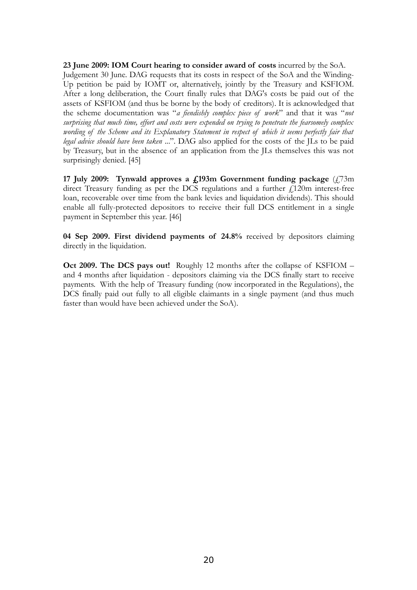**23 June 2009: IOM Court hearing to consider award of costs** incurred by the SoA. Judgement 30 June. DAG requests that its costs in respect of the SoA and the Winding-Up petition be paid by IOMT or, alternatively, jointly by the Treasury and KSFIOM. After a long deliberation, the Court finally rules that DAG's costs be paid out of the assets of KSFIOM (and thus be borne by the body of creditors). It is acknowledged that the scheme documentation was "*a fiendishly complex piece of work*" and that it was "*not surprising that much time, effort and costs were expended on trying to penetrate the fearsomely complex wording of the Scheme and its Explanatory Statement in respect of which it seems perfectly fair that legal advice should have been taken* ...". DAG also applied for the costs of the JLs to be paid by Treasury, but in the absence of an application from the JLs themselves this was not surprisingly denied. [45]

**17 July 2009: Tynwald approves a £193m Government funding package** (£73m direct Treasury funding as per the DCS regulations and a further  $\angle 120$ m interest-free loan, recoverable over time from the bank levies and liquidation dividends). This should enable all fully-protected depositors to receive their full DCS entitlement in a single payment in September this year. [46]

**04 Sep 2009. First dividend payments of 24.8%** received by depositors claiming directly in the liquidation.

**Oct 2009. The DCS pays out!** Roughly 12 months after the collapse of KSFIOM – and 4 months after liquidation - depositors claiming via the DCS finally start to receive payments. With the help of Treasury funding (now incorporated in the Regulations), the DCS finally paid out fully to all eligible claimants in a single payment (and thus much faster than would have been achieved under the SoA).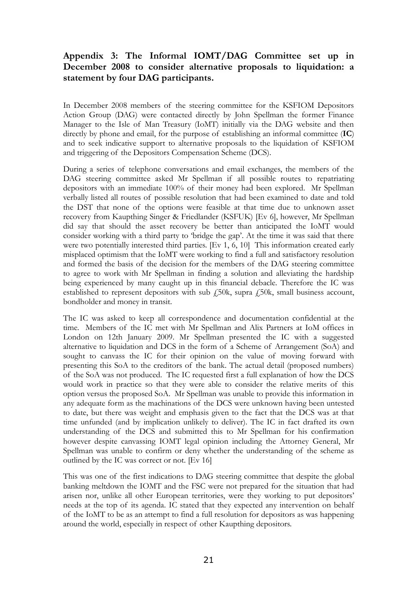# **Appendix 3: The Informal IOMT/DAG Committee set up in December 2008 to consider alternative proposals to liquidation: a statement by four DAG participants.**

In December 2008 members of the steering committee for the KSFIOM Depositors Action Group (DAG) were contacted directly by John Spellman the former Finance Manager to the Isle of Man Treasury (IoMT) initially via the DAG website and then directly by phone and email, for the purpose of establishing an informal committee (**IC**) and to seek indicative support to alternative proposals to the liquidation of KSFIOM and triggering of the Depositors Compensation Scheme (DCS).

During a series of telephone conversations and email exchanges, the members of the DAG steering committee asked Mr Spellman if all possible routes to repatriating depositors with an immediate 100% of their money had been explored. Mr Spellman verbally listed all routes of possible resolution that had been examined to date and told the DST that none of the options were feasible at that time due to unknown asset recovery from Kaupthing Singer & Friedlander (KSFUK) [Ev 6], however, Mr Spellman did say that should the asset recovery be better than anticipated the IoMT would consider working with a third party to 'bridge the gap'. At the time it was said that there were two potentially interested third parties. [Ev 1, 6, 10] This information created early misplaced optimism that the IoMT were working to find a full and satisfactory resolution and formed the basis of the decision for the members of the DAG steering committee to agree to work with Mr Spellman in finding a solution and alleviating the hardship being experienced by many caught up in this financial debacle. Therefore the IC was established to represent depositors with sub  $f_{\text{50k}}$ , supra  $f_{\text{50k}}$ , small business account, bondholder and money in transit.

The IC was asked to keep all correspondence and documentation confidential at the time. Members of the IC met with Mr Spellman and Alix Partners at IoM offices in London on 12th January 2009. Mr Spellman presented the IC with a suggested alternative to liquidation and DCS in the form of a Scheme of Arrangement (SoA) and sought to canvass the IC for their opinion on the value of moving forward with presenting this SoA to the creditors of the bank. The actual detail (proposed numbers) of the SoA was not produced. The IC requested first a full explanation of how the DCS would work in practice so that they were able to consider the relative merits of this option versus the proposed SoA. Mr Spellman was unable to provide this information in any adequate form as the machinations of the DCS were unknown having been untested to date, but there was weight and emphasis given to the fact that the DCS was at that time unfunded (and by implication unlikely to deliver). The IC in fact drafted its own understanding of the DCS and submitted this to Mr Spellman for his confirmation however despite canvassing IOMT legal opinion including the Attorney General, Mr Spellman was unable to confirm or deny whether the understanding of the scheme as outlined by the IC was correct or not. [Ev 16]

This was one of the first indications to DAG steering committee that despite the global banking meltdown the IOMT and the FSC were not prepared for the situation that had arisen nor, unlike all other European territories, were they working to put depositors' needs at the top of its agenda. IC stated that they expected any intervention on behalf of the IoMT to be as an attempt to find a full resolution for depositors as was happening around the world, especially in respect of other Kaupthing depositors.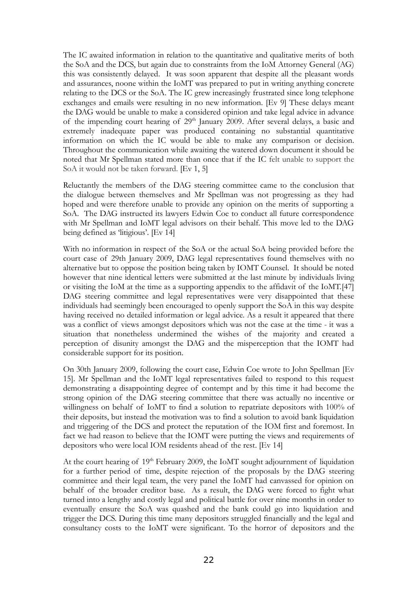The IC awaited information in relation to the quantitative and qualitative merits of both the SoA and the DCS, but again due to constraints from the IoM Attorney General (AG) this was consistently delayed. It was soon apparent that despite all the pleasant words and assurances, noone within the IoMT was prepared to put in writing anything concrete relating to the DCS or the SoA. The IC grew increasingly frustrated since long telephone exchanges and emails were resulting in no new information. [Ev 9] These delays meant the DAG would be unable to make a considered opinion and take legal advice in advance of the impending court hearing of 29<sup>th</sup> January 2009. After several delays, a basic and extremely inadequate paper was produced containing no substantial quantitative information on which the IC would be able to make any comparison or decision. Throughout the communication while awaiting the watered down document it should be noted that Mr Spellman stated more than once that if the IC felt unable to support the SoA it would not be taken forward. [Ev 1, 5]

Reluctantly the members of the DAG steering committee came to the conclusion that the dialogue between themselves and Mr Spellman was not progressing as they had hoped and were therefore unable to provide any opinion on the merits of supporting a SoA. The DAG instructed its lawyers Edwin Coe to conduct all future correspondence with Mr Spellman and IoMT legal advisors on their behalf. This move led to the DAG being defined as 'litigious'. [Ev 14]

With no information in respect of the SoA or the actual SoA being provided before the court case of 29th January 2009, DAG legal representatives found themselves with no alternative but to oppose the position being taken by IOMT Counsel. It should be noted however that nine identical letters were submitted at the last minute by individuals living or visiting the IoM at the time as a supporting appendix to the affidavit of the IoMT.[47] DAG steering committee and legal representatives were very disappointed that these individuals had seemingly been encouraged to openly support the SoA in this way despite having received no detailed information or legal advice. As a result it appeared that there was a conflict of views amongst depositors which was not the case at the time - it was a situation that nonetheless undermined the wishes of the majority and created a perception of disunity amongst the DAG and the misperception that the IOMT had considerable support for its position.

On 30th January 2009, following the court case, Edwin Coe wrote to John Spellman [Ev 15]. Mr Spellman and the IoMT legal representatives failed to respond to this request demonstrating a disappointing degree of contempt and by this time it had become the strong opinion of the DAG steering committee that there was actually no incentive or willingness on behalf of IoMT to find a solution to repatriate depositors with 100% of their deposits, but instead the motivation was to find a solution to avoid bank liquidation and triggering of the DCS and protect the reputation of the IOM first and foremost. In fact we had reason to believe that the IOMT were putting the views and requirements of depositors who were local IOM residents ahead of the rest. [Ev 14]

At the court hearing of 19<sup>th</sup> February 2009, the IoMT sought adjournment of liquidation for a further period of time, despite rejection of the proposals by the DAG steering committee and their legal team, the very panel the IoMT had canvassed for opinion on behalf of the broader creditor base. As a result, the DAG were forced to fight what turned into a lengthy and costly legal and political battle for over nine months in order to eventually ensure the SoA was quashed and the bank could go into liquidation and trigger the DCS. During this time many depositors struggled financially and the legal and consultancy costs to the IoMT were significant. To the horror of depositors and the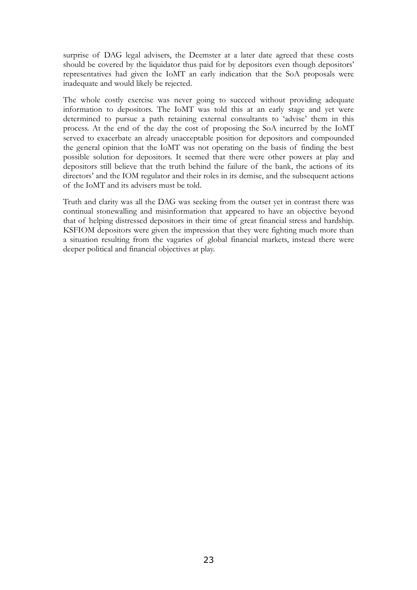surprise of DAG legal advisers, the Deemster at a later date agreed that these costs should be covered by the liquidator thus paid for by depositors even though depositors' representatives had given the IoMT an early indication that the SoA proposals were inadequate and would likely be rejected.

The whole costly exercise was never going to succeed without providing adequate information to depositors. The IoMT was told this at an early stage and yet were determined to pursue a path retaining external consultants to 'advise' them in this process. At the end of the day the cost of proposing the SoA incurred by the IoMT served to exacerbate an already unacceptable position for depositors and compounded the general opinion that the IoMT was not operating on the basis of finding the best possible solution for depositors. It seemed that there were other powers at play and depositors still believe that the truth behind the failure of the bank, the actions of its directors' and the IOM regulator and their roles in its demise, and the subsequent actions of the IoMT and its advisers must be told.

Truth and clarity was all the DAG was seeking from the outset yet in contrast there was continual stonewalling and misinformation that appeared to have an objective beyond that of helping distressed depositors in their time of great financial stress and hardship. KSFIOM depositors were given the impression that they were fighting much more than a situation resulting from the vagaries of global financial markets, instead there were deeper political and financial objectives at play.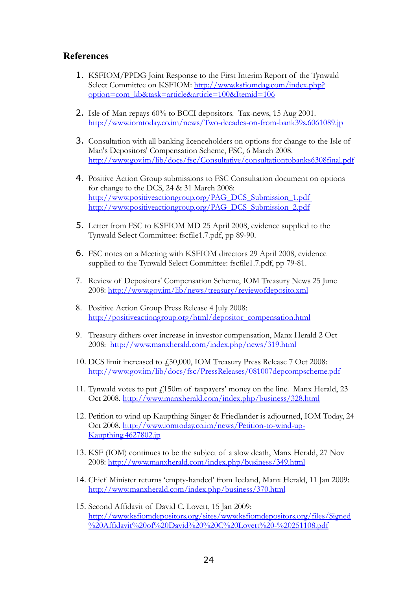### **References**

- 1. KSFIOM/PPDG Joint Response to the First Interim Report of the Tynwald Select Committee on KSFIOM: [http://www.ksfiomdag.com/index.php?](http://www.ksfiomdag.com/index.php?option=com_kb&task=article&article=100&Itemid=106) [option=com\\_kb&task=article&article=100&Itemid=106](http://www.ksfiomdag.com/index.php?option=com_kb&task=article&article=100&Itemid=106)
- 2. Isle of Man repays 60% to BCCI depositors. Tax-news, 15 Aug 2001. <http://www.iomtoday.co.im/news/Two-decades-on-from-bank39s.6061089.jp>
- 3. Consultation with all banking licenceholders on options for change to the Isle of Man's Depositors' Compensation Scheme, FSC, 6 March 2008. <http://www.gov.im/lib/docs/fsc/Consultative/consultationtobanks6308final.pdf>
- 4. Positive Action Group submissions to FSC Consultation document on options for change to the DCS, 24 & 31 March 2008: [http://www.positiveactiongroup.org/PAG\\_DCS\\_Submission\\_1.pdf](http://www.positiveactiongroup.org/PAG_DCS_Submission_1.pdf) [http://www.positiveactiongroup.org/PAG\\_DCS\\_Submission\\_2.pdf](http://www.positiveactiongroup.org/PAG_DCS_Submission_2.pdf)
- 5. Letter from FSC to KSFIOM MD 25 April 2008, evidence supplied to the Tynwald Select Committee: fscfile1.7.pdf, pp 89-90.
- 6. FSC notes on a Meeting with KSFIOM directors 29 April 2008, evidence supplied to the Tynwald Select Committee: fscfile1.7.pdf, pp 79-81.
- 7. Review of Depositors' Compensation Scheme, IOM Treasury News 25 June 2008: <http://www.gov.im/lib/news/treasury/reviewofdeposito.xml>
- 8. Positive Action Group Press Release 4 July 2008: [http://positiveactiongroup.org/html/depositor\\_compensation.html](http://positiveactiongroup.org/html/depositor_compensation.html)
- 9. Treasury dithers over increase in investor compensation, Manx Herald 2 Oct 2008: <http://www.manxherald.com/index.php/news/319.html>
- 10. DCS limit increased to £50,000, IOM Treasury Press Release 7 Oct 2008: <http://www.gov.im/lib/docs/fsc/PressReleases/081007depcompscheme.pdf>
- 11. Tynwald votes to put  $\ell$ 150m of taxpayers' money on the line. Manx Herald, 23 Oct 2008. <http://www.manxherald.com/index.php/business/328.html>
- 12. Petition to wind up Kaupthing Singer & Friedlander is adjourned, IOM Today, 24 Oct 2008. [http://www.iomtoday.co.im/news/Petition-to-wind-up-](http://www.iomtoday.co.im/news/Petition-to-wind-up-Kaupthing.4627802.jp)[Kaupthing.4627802.jp](http://www.iomtoday.co.im/news/Petition-to-wind-up-Kaupthing.4627802.jp)
- 13. KSF (IOM) continues to be the subject of a slow death, Manx Herald, 27 Nov 2008: <http://www.manxherald.com/index.php/business/349.html>
- 14. Chief Minister returns 'empty-handed' from Iceland, Manx Herald, 11 Jan 2009: <http://www.manxherald.com/index.php/business/370.html>
- 15. Second Affidavit of David C. Lovett, 15 Jan 2009: [http://www.ksfiomdepositors.org/sites/www.ksfiomdepositors.org/files/Signed](http://www.ksfiomdepositors.org/sites/www.ksfiomdepositors.org/files/Signed%20Affidavit%20of%20David%20%20C%20Lovett%20-%20251108.pdf) [%20Affidavit%20of%20David%20%20C%20Lovett%20-%20251108.pdf](http://www.ksfiomdepositors.org/sites/www.ksfiomdepositors.org/files/Signed%20Affidavit%20of%20David%20%20C%20Lovett%20-%20251108.pdf)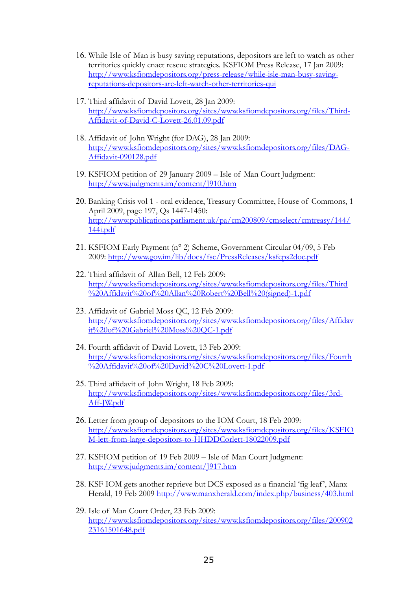- 16. While Isle of Man is busy saving reputations, depositors are left to watch as other territories quickly enact rescue strategies. KSFIOM Press Release, 17 Jan 2009: [http://www.ksfiomdepositors.org/press-release/while-isle-man-busy-saving](http://www.ksfiomdepositors.org/press-release/while-isle-man-busy-saving-reputations-depositors-are-left-watch-other-territories-qui)[reputations-depositors-are-left-watch-other-territories-qui](http://www.ksfiomdepositors.org/press-release/while-isle-man-busy-saving-reputations-depositors-are-left-watch-other-territories-qui)
- 17. Third affidavit of David Lovett, 28 Jan 2009: [http://www.ksfiomdepositors.org/sites/www.ksfiomdepositors.org/files/Third-](http://www.ksfiomdepositors.org/sites/www.ksfiomdepositors.org/files/Third-Affidavit-of-David-C-Lovett-26.01.09.pdf)[Affidavit-of-David-C-Lovett-26.01.09.pdf](http://www.ksfiomdepositors.org/sites/www.ksfiomdepositors.org/files/Third-Affidavit-of-David-C-Lovett-26.01.09.pdf)
- 18. Affidavit of John Wright (for DAG), 28 Jan 2009: http://www.ksfiomdepositors.org/sites/www.ksfiomdepositors.org/files/DAG-Affidavit-090128.pdf
- 19. KSFIOM petition of 29 January 2009 Isle of Man Court Judgment: <http://www.judgments.im/content/J910.htm>
- 20. Banking Crisis vol 1 oral evidence, Treasury Committee, House of Commons, 1 April 2009, page 197, Qs 1447-1450: [http://www.publications.parliament.uk/pa/cm200809/cmselect/cmtreasy/144/](http://www.publications.parliament.uk/pa/cm200809/cmselect/cmtreasy/144/144i.pdf) [144i.pdf](http://www.publications.parliament.uk/pa/cm200809/cmselect/cmtreasy/144/144i.pdf)
- 21. KSFIOM Early Payment (n° 2) Scheme, Government Circular 04/09, 5 Feb 2009: <http://www.gov.im/lib/docs/fsc/PressReleases/ksfeps2doc.pdf>
- 22. Third affidavit of Allan Bell, 12 Feb 2009: [http://www.ksfiomdepositors.org/sites/www.ksfiomdepositors.org/files/Third](http://www.ksfiomdepositors.org/sites/www.ksfiomdepositors.org/files/Third%20Affidavit%20of%20Allan%20Robert%20Bell%20(signed)-1.pdf) [%20Affidavit%20of%20Allan%20Robert%20Bell%20\(signed\)-1.pdf](http://www.ksfiomdepositors.org/sites/www.ksfiomdepositors.org/files/Third%20Affidavit%20of%20Allan%20Robert%20Bell%20(signed)-1.pdf)
- 23. Affidavit of Gabriel Moss QC, 12 Feb 2009: http://www.ksfiomdepositors.org/sites/www.ksfiomdepositors.org/files/Affidav it%20of%20Gabriel%20Moss%20QC-1.pdf
- 24. Fourth affidavit of David Lovett, 13 Feb 2009: [http://www.ksfiomdepositors.org/sites/www.ksfiomdepositors.org/files/Fourth](http://www.ksfiomdepositors.org/sites/www.ksfiomdepositors.org/files/Fourth%20Affidavit%20of%20David%20C%20Lovett-1.pdf) [%20Affidavit%20of%20David%20C%20Lovett-1.pdf](http://www.ksfiomdepositors.org/sites/www.ksfiomdepositors.org/files/Fourth%20Affidavit%20of%20David%20C%20Lovett-1.pdf)
- 25. Third affidavit of John Wright, 18 Feb 2009: [http://www.ksfiomdepositors.org/sites/www.ksfiomdepositors.org/files/3rd-](http://www.ksfiomdepositors.org/sites/www.ksfiomdepositors.org/files/3rd-Aff-JW.pdf)[Aff-JW.pdf](http://www.ksfiomdepositors.org/sites/www.ksfiomdepositors.org/files/3rd-Aff-JW.pdf)
- 26. Letter from group of depositors to the IOM Court, 18 Feb 2009: [http://www.ksfiomdepositors.org/sites/www.ksfiomdepositors.org/files/KSFIO](http://www.ksfiomdepositors.org/sites/www.ksfiomdepositors.org/files/KSFIOM-lett-from-large-depositors-to-HHDDCorlett-18022009.pdf) [M-lett-from-large-depositors-to-HHDDCorlett-18022009.pdf](http://www.ksfiomdepositors.org/sites/www.ksfiomdepositors.org/files/KSFIOM-lett-from-large-depositors-to-HHDDCorlett-18022009.pdf)
- 27. KSFIOM petition of 19 Feb 2009 Isle of Man Court Judgment: <http://www.judgments.im/content/J917.htm>
- 28. KSF IOM gets another reprieve but DCS exposed as a financial 'fig leaf', Manx Herald, 19 Feb 2009 <http://www.manxherald.com/index.php/business/403.html>
- 29. Isle of Man Court Order, 23 Feb 2009: [http://www.ksfiomdepositors.org/sites/www.ksfiomdepositors.org/files/200902](http://www.ksfiomdepositors.org/sites/www.ksfiomdepositors.org/files/20090223161501648.pdf) [23161501648.pdf](http://www.ksfiomdepositors.org/sites/www.ksfiomdepositors.org/files/20090223161501648.pdf)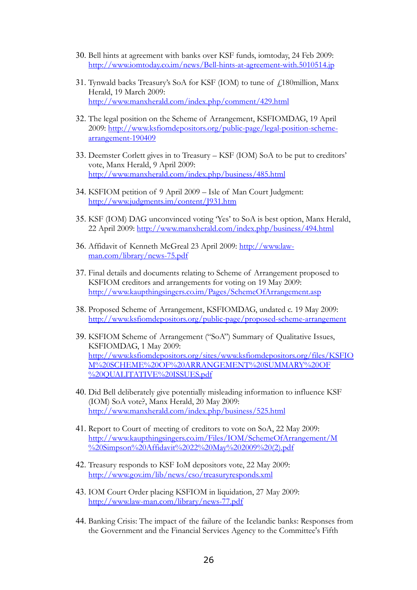- 30. Bell hints at agreement with banks over KSF funds, iomtoday, 24 Feb 2009: <http://www.iomtoday.co.im/news/Bell-hints-at-agreement-with.5010514.jp>
- 31. Tynwald backs Treasury's SoA for KSF (IOM) to tune of  $\beta$ 180million, Manx Herald, 19 March 2009: <http://www.manxherald.com/index.php/comment/429.html>
- 32. The legal position on the Scheme of Arrangement, KSFIOMDAG, 19 April 2009: [http://www.ksfiomdepositors.org/public-page/legal-position-scheme](http://www.ksfiomdepositors.org/public-page/legal-position-scheme-arrangement-190409)[arrangement-190409](http://www.ksfiomdepositors.org/public-page/legal-position-scheme-arrangement-190409)
- 33. Deemster Corlett gives in to Treasury KSF (IOM) SoA to be put to creditors' vote, Manx Herald, 9 April 2009: <http://www.manxherald.com/index.php/business/485.html>
- 34. KSFIOM petition of 9 April 2009 Isle of Man Court Judgment: <http://www.judgments.im/content/J931.htm>
- 35. KSF (IOM) DAG unconvinced voting 'Yes' to SoA is best option, Manx Herald, 22 April 2009: <http://www.manxherald.com/index.php/business/494.html>
- 36. Affidavit of Kenneth McGreal 23 April 2009: [http://www.law](http://www.law-man.com/library/news-75.pdf)[man.com/library/news-75.pdf](http://www.law-man.com/library/news-75.pdf)
- 37. Final details and documents relating to Scheme of Arrangement proposed to KSFIOM creditors and arrangements for voting on 19 May 2009: <http://www.kaupthingsingers.co.im/Pages/SchemeOfArrangement.asp>
- 38. Proposed Scheme of Arrangement, KSFIOMDAG, undated c. 19 May 2009: <http://www.ksfiomdepositors.org/public-page/proposed-scheme-arrangement>
- 39. KSFIOM Scheme of Arrangement ("SoA") Summary of Qualitative Issues, KSFIOMDAG, 1 May 2009: [http://www.ksfiomdepositors.org/sites/www.ksfiomdepositors.org/files/KSFIO](http://www.ksfiomdepositors.org/sites/www.ksfiomdepositors.org/files/KSFIOM%20SCHEME%20OF%20ARRANGEMENT%20SUMMARY%20OF%20QUALITATIVE%20ISSUES.pdf) [M%20SCHEME%20OF%20ARRANGEMENT%20SUMMARY%20OF](http://www.ksfiomdepositors.org/sites/www.ksfiomdepositors.org/files/KSFIOM%20SCHEME%20OF%20ARRANGEMENT%20SUMMARY%20OF%20QUALITATIVE%20ISSUES.pdf) [%20QUALITATIVE%20ISSUES.pdf](http://www.ksfiomdepositors.org/sites/www.ksfiomdepositors.org/files/KSFIOM%20SCHEME%20OF%20ARRANGEMENT%20SUMMARY%20OF%20QUALITATIVE%20ISSUES.pdf)
- 40. Did Bell deliberately give potentially misleading information to influence KSF (IOM) SoA vote?, Manx Herald, 20 May 2009: <http://www.manxherald.com/index.php/business/525.html>
- 41. Report to Court of meeting of creditors to vote on SoA, 22 May 2009: [http://www.kaupthingsingers.co.im/Files/IOM/SchemeOfArrangement/M](http://www.kaupthingsingers.co.im/Files/IOM/SchemeOfArrangement/M%20Simpson%20Affidavit%2022%20May%202009%20(2).pdf) [%20Simpson%20Affidavit%2022%20May%202009%20\(2\).pdf](http://www.kaupthingsingers.co.im/Files/IOM/SchemeOfArrangement/M%20Simpson%20Affidavit%2022%20May%202009%20(2).pdf)
- 42. Treasury responds to KSF IoM depositors vote, 22 May 2009: <http://www.gov.im/lib/news/cso/treasuryresponds.xml>
- 43. IOM Court Order placing KSFIOM in liquidation, 27 May 2009: <http://www.law-man.com/library/news-77.pdf>
- 44. Banking Crisis: The impact of the failure of the Icelandic banks: Responses from the Government and the Financial Services Agency to the Committee's Fifth